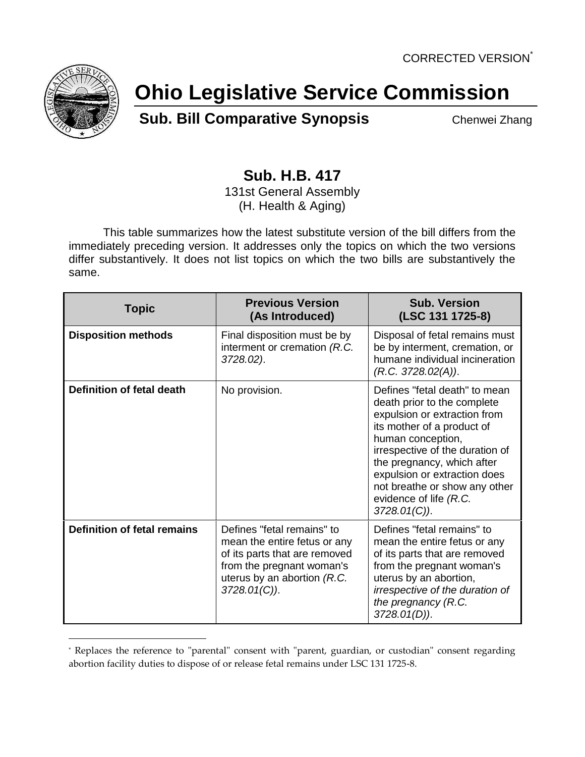

 $\overline{a}$ 

## **Ohio Legislative Service Commission**

**Sub. Bill Comparative Synopsis** Chenwei Zhang

## **Sub. H.B. 417**

131st General Assembly (H. Health & Aging)

This table summarizes how the latest substitute version of the bill differs from the immediately preceding version. It addresses only the topics on which the two versions differ substantively. It does not list topics on which the two bills are substantively the same.

| <b>Topic</b>                       | <b>Previous Version</b><br>(As Introduced)                                                                                                                              | <b>Sub. Version</b><br>(LSC 131 1725-8)                                                                                                                                                                                                                                                                                     |
|------------------------------------|-------------------------------------------------------------------------------------------------------------------------------------------------------------------------|-----------------------------------------------------------------------------------------------------------------------------------------------------------------------------------------------------------------------------------------------------------------------------------------------------------------------------|
| <b>Disposition methods</b>         | Final disposition must be by<br>interment or cremation (R.C.<br>3728.02).                                                                                               | Disposal of fetal remains must<br>be by interment, cremation, or<br>humane individual incineration<br>(R.C. 3728.02(A)).                                                                                                                                                                                                    |
| Definition of fetal death          | No provision.                                                                                                                                                           | Defines "fetal death" to mean<br>death prior to the complete<br>expulsion or extraction from<br>its mother of a product of<br>human conception,<br>irrespective of the duration of<br>the pregnancy, which after<br>expulsion or extraction does<br>not breathe or show any other<br>evidence of life (R.C.<br>3728.01(C)). |
| <b>Definition of fetal remains</b> | Defines "fetal remains" to<br>mean the entire fetus or any<br>of its parts that are removed<br>from the pregnant woman's<br>uterus by an abortion (R.C.<br>3728.01(C)). | Defines "fetal remains" to<br>mean the entire fetus or any<br>of its parts that are removed<br>from the pregnant woman's<br>uterus by an abortion,<br>irrespective of the duration of<br>the pregnancy (R.C.<br>$3728.01(D)$ ).                                                                                             |

<sup>\*</sup> Replaces the reference to "parental" consent with "parent, guardian, or custodian" consent regarding abortion facility duties to dispose of or release fetal remains under LSC 131 1725-8.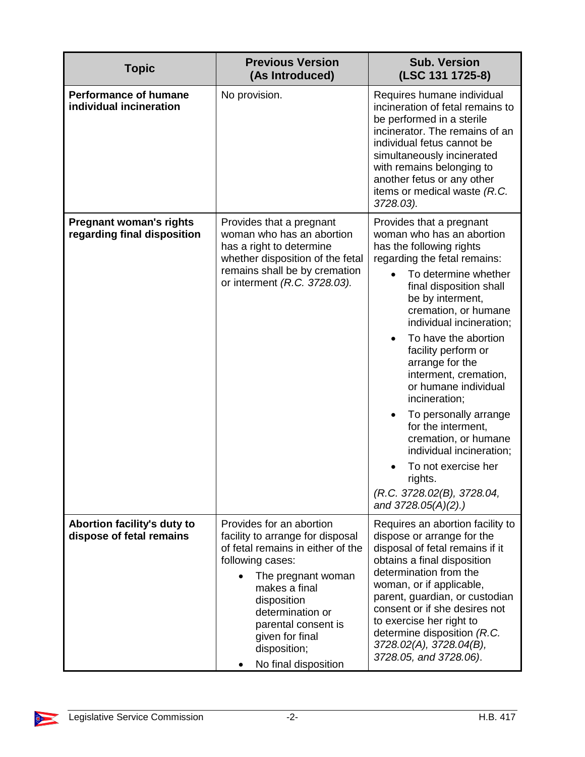| <b>Topic</b>                                                  | <b>Previous Version</b><br>(As Introduced)                                                                                                                                                                                                                                        | <b>Sub. Version</b><br>(LSC 131 1725-8)                                                                                                                                                                                                                                                                                                                                                                                                                                                                                                                                       |
|---------------------------------------------------------------|-----------------------------------------------------------------------------------------------------------------------------------------------------------------------------------------------------------------------------------------------------------------------------------|-------------------------------------------------------------------------------------------------------------------------------------------------------------------------------------------------------------------------------------------------------------------------------------------------------------------------------------------------------------------------------------------------------------------------------------------------------------------------------------------------------------------------------------------------------------------------------|
| <b>Performance of humane</b><br>individual incineration       | No provision.                                                                                                                                                                                                                                                                     | Requires humane individual<br>incineration of fetal remains to<br>be performed in a sterile<br>incinerator. The remains of an<br>individual fetus cannot be<br>simultaneously incinerated<br>with remains belonging to<br>another fetus or any other<br>items or medical waste (R.C.<br>3728.03).                                                                                                                                                                                                                                                                             |
| <b>Pregnant woman's rights</b><br>regarding final disposition | Provides that a pregnant<br>woman who has an abortion<br>has a right to determine<br>whether disposition of the fetal<br>remains shall be by cremation<br>or interment (R.C. 3728.03).                                                                                            | Provides that a pregnant<br>woman who has an abortion<br>has the following rights<br>regarding the fetal remains:<br>To determine whether<br>final disposition shall<br>be by interment,<br>cremation, or humane<br>individual incineration;<br>To have the abortion<br>facility perform or<br>arrange for the<br>interment, cremation,<br>or humane individual<br>incineration;<br>To personally arrange<br>for the interment,<br>cremation, or humane<br>individual incineration;<br>To not exercise her<br>rights.<br>(R.C. 3728.02(B), 3728.04,<br>and $3728.05(A)(2)$ .) |
| Abortion facility's duty to<br>dispose of fetal remains       | Provides for an abortion<br>facility to arrange for disposal<br>of fetal remains in either of the<br>following cases:<br>The pregnant woman<br>makes a final<br>disposition<br>determination or<br>parental consent is<br>given for final<br>disposition;<br>No final disposition | Requires an abortion facility to<br>dispose or arrange for the<br>disposal of fetal remains if it<br>obtains a final disposition<br>determination from the<br>woman, or if applicable,<br>parent, guardian, or custodian<br>consent or if she desires not<br>to exercise her right to<br>determine disposition (R.C.<br>3728.02(A), 3728.04(B),<br>3728.05, and 3728.06).                                                                                                                                                                                                     |

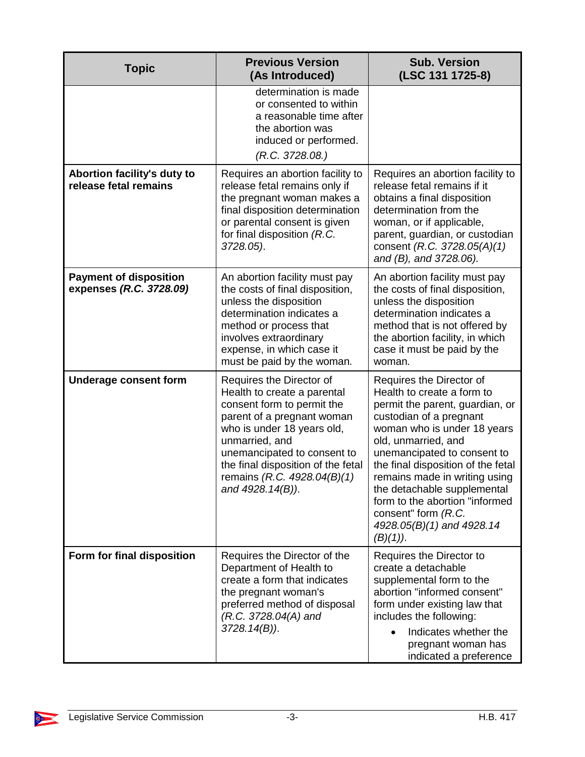| <b>Topic</b>                                             | <b>Previous Version</b><br>(As Introduced)                                                                                                                                                                                                                                                  | <b>Sub. Version</b><br>(LSC 131 1725-8)                                                                                                                                                                                                                                                                                                                                                                              |
|----------------------------------------------------------|---------------------------------------------------------------------------------------------------------------------------------------------------------------------------------------------------------------------------------------------------------------------------------------------|----------------------------------------------------------------------------------------------------------------------------------------------------------------------------------------------------------------------------------------------------------------------------------------------------------------------------------------------------------------------------------------------------------------------|
|                                                          | determination is made<br>or consented to within<br>a reasonable time after<br>the abortion was<br>induced or performed.<br>(R.C. 3728.08.)                                                                                                                                                  |                                                                                                                                                                                                                                                                                                                                                                                                                      |
| Abortion facility's duty to<br>release fetal remains     | Requires an abortion facility to<br>release fetal remains only if<br>the pregnant woman makes a<br>final disposition determination<br>or parental consent is given<br>for final disposition (R.C.<br>3728.05).                                                                              | Requires an abortion facility to<br>release fetal remains if it<br>obtains a final disposition<br>determination from the<br>woman, or if applicable,<br>parent, guardian, or custodian<br>consent (R.C. 3728.05(A)(1)<br>and (B), and 3728.06).                                                                                                                                                                      |
| <b>Payment of disposition</b><br>expenses (R.C. 3728.09) | An abortion facility must pay<br>the costs of final disposition,<br>unless the disposition<br>determination indicates a<br>method or process that<br>involves extraordinary<br>expense, in which case it<br>must be paid by the woman.                                                      | An abortion facility must pay<br>the costs of final disposition,<br>unless the disposition<br>determination indicates a<br>method that is not offered by<br>the abortion facility, in which<br>case it must be paid by the<br>woman.                                                                                                                                                                                 |
| <b>Underage consent form</b>                             | Requires the Director of<br>Health to create a parental<br>consent form to permit the<br>parent of a pregnant woman<br>who is under 18 years old,<br>unmarried, and<br>unemancipated to consent to<br>the final disposition of the fetal<br>remains (R.C. 4928.04(B)(1)<br>and 4928.14(B)). | Requires the Director of<br>Health to create a form to<br>permit the parent, guardian, or<br>custodian of a pregnant<br>woman who is under 18 years<br>old, unmarried, and<br>unemancipated to consent to<br>the final disposition of the fetal<br>remains made in writing using<br>the detachable supplemental<br>form to the abortion "informed<br>consent" form (R.C.<br>4928.05(B)(1) and 4928.14<br>$(B)(1)$ ). |
| Form for final disposition                               | Requires the Director of the<br>Department of Health to<br>create a form that indicates<br>the pregnant woman's<br>preferred method of disposal<br>$(R.C. 3728.04(A)$ and<br>$3728.14(B)$ ).                                                                                                | Requires the Director to<br>create a detachable<br>supplemental form to the<br>abortion "informed consent"<br>form under existing law that<br>includes the following:<br>Indicates whether the<br>pregnant woman has<br>indicated a preference                                                                                                                                                                       |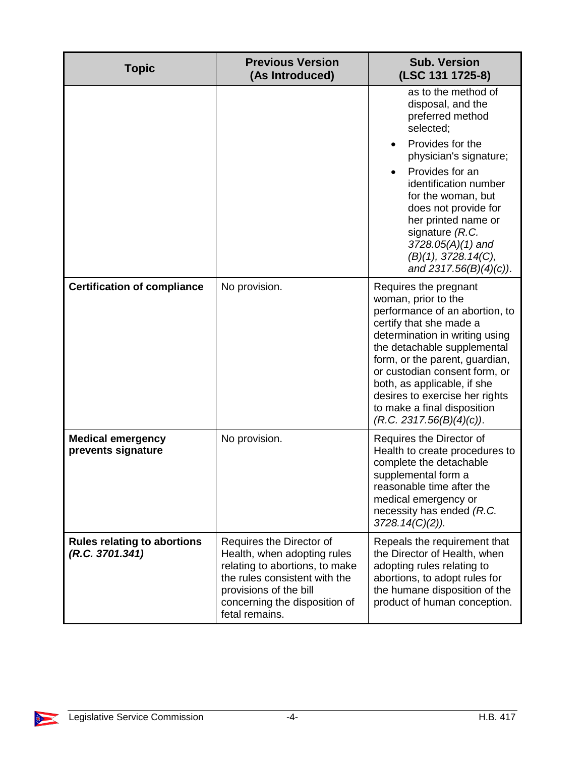| <b>Topic</b>                                          | <b>Previous Version</b><br>(As Introduced)                                                                                                                                                              | <b>Sub. Version</b><br>(LSC 131 1725-8)                                                                                                                                                                                                                                                                                                                                   |
|-------------------------------------------------------|---------------------------------------------------------------------------------------------------------------------------------------------------------------------------------------------------------|---------------------------------------------------------------------------------------------------------------------------------------------------------------------------------------------------------------------------------------------------------------------------------------------------------------------------------------------------------------------------|
|                                                       |                                                                                                                                                                                                         | as to the method of<br>disposal, and the<br>preferred method<br>selected;                                                                                                                                                                                                                                                                                                 |
|                                                       |                                                                                                                                                                                                         | Provides for the<br>physician's signature;                                                                                                                                                                                                                                                                                                                                |
|                                                       |                                                                                                                                                                                                         | Provides for an<br>identification number<br>for the woman, but<br>does not provide for<br>her printed name or<br>signature (R.C.<br>$3728.05(A)(1)$ and<br>(B)(1), 3728.14(C),<br>and $2317.56(B)(4)(c)$ ).                                                                                                                                                               |
| <b>Certification of compliance</b>                    | No provision.                                                                                                                                                                                           | Requires the pregnant<br>woman, prior to the<br>performance of an abortion, to<br>certify that she made a<br>determination in writing using<br>the detachable supplemental<br>form, or the parent, guardian,<br>or custodian consent form, or<br>both, as applicable, if she<br>desires to exercise her rights<br>to make a final disposition<br>(R.C. 2317.56(B)(4)(c)). |
| <b>Medical emergency</b><br>prevents signature        | No provision.                                                                                                                                                                                           | Requires the Director of<br>Health to create procedures to<br>complete the detachable<br>supplemental form a<br>reasonable time after the<br>medical emergency or<br>necessity has ended (R.C.<br>$3728.14(C)(2)$ ).                                                                                                                                                      |
| <b>Rules relating to abortions</b><br>(R.C. 3701.341) | Requires the Director of<br>Health, when adopting rules<br>relating to abortions, to make<br>the rules consistent with the<br>provisions of the bill<br>concerning the disposition of<br>fetal remains. | Repeals the requirement that<br>the Director of Health, when<br>adopting rules relating to<br>abortions, to adopt rules for<br>the humane disposition of the<br>product of human conception.                                                                                                                                                                              |

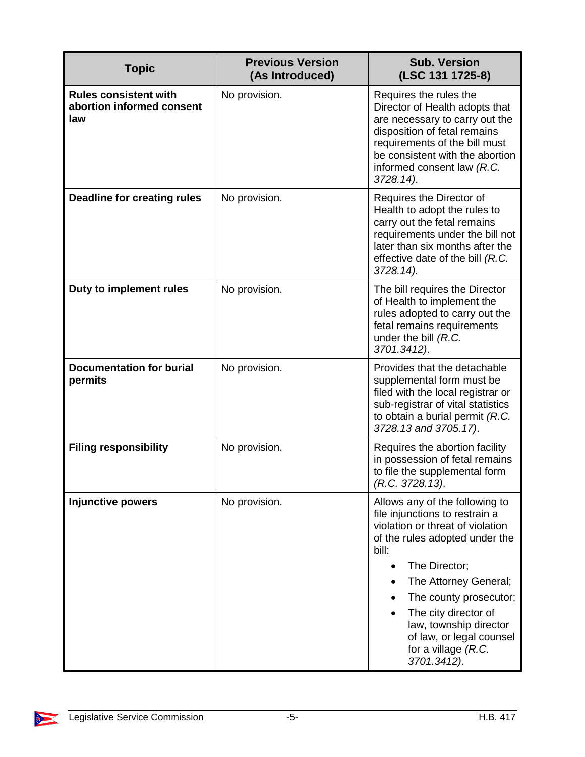| <b>Topic</b>                                                     | <b>Previous Version</b><br>(As Introduced) | <b>Sub. Version</b><br>(LSC 131 1725-8)                                                                                                                                                                                                                                                                                                   |
|------------------------------------------------------------------|--------------------------------------------|-------------------------------------------------------------------------------------------------------------------------------------------------------------------------------------------------------------------------------------------------------------------------------------------------------------------------------------------|
| <b>Rules consistent with</b><br>abortion informed consent<br>law | No provision.                              | Requires the rules the<br>Director of Health adopts that<br>are necessary to carry out the<br>disposition of fetal remains<br>requirements of the bill must<br>be consistent with the abortion<br>informed consent law (R.C.<br>3728.14).                                                                                                 |
| <b>Deadline for creating rules</b>                               | No provision.                              | Requires the Director of<br>Health to adopt the rules to<br>carry out the fetal remains<br>requirements under the bill not<br>later than six months after the<br>effective date of the bill (R.C.<br>3728.14).                                                                                                                            |
| Duty to implement rules                                          | No provision.                              | The bill requires the Director<br>of Health to implement the<br>rules adopted to carry out the<br>fetal remains requirements<br>under the bill $(R.C.$<br>3701.3412).                                                                                                                                                                     |
| <b>Documentation for burial</b><br>permits                       | No provision.                              | Provides that the detachable<br>supplemental form must be<br>filed with the local registrar or<br>sub-registrar of vital statistics<br>to obtain a burial permit $(R.C.$<br>3728.13 and 3705.17).                                                                                                                                         |
| <b>Filing responsibility</b>                                     | No provision.                              | Requires the abortion facility<br>in possession of fetal remains<br>to file the supplemental form<br>(R.C. 3728.13).                                                                                                                                                                                                                      |
| <b>Injunctive powers</b>                                         | No provision.                              | Allows any of the following to<br>file injunctions to restrain a<br>violation or threat of violation<br>of the rules adopted under the<br>bill:<br>The Director;<br>The Attorney General;<br>The county prosecutor;<br>The city director of<br>law, township director<br>of law, or legal counsel<br>for a village $(R.C.$<br>3701.3412). |